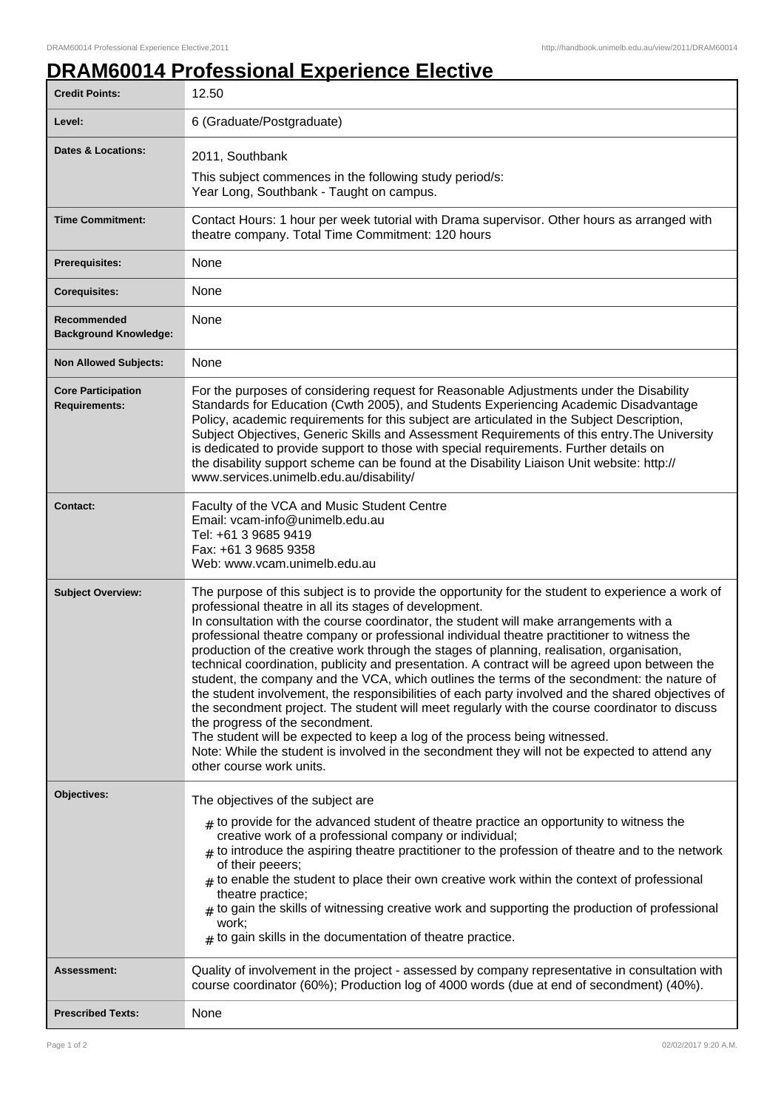## **DRAM60014 Professional Experience Elective**

| <b>Credit Points:</b>                             | 12.50                                                                                                                                                                                                                                                                                                                                                                                                                                                                                                                                                                                                                                                                                                                                                                                                                                                                                                                                                                                                                                                                                                    |
|---------------------------------------------------|----------------------------------------------------------------------------------------------------------------------------------------------------------------------------------------------------------------------------------------------------------------------------------------------------------------------------------------------------------------------------------------------------------------------------------------------------------------------------------------------------------------------------------------------------------------------------------------------------------------------------------------------------------------------------------------------------------------------------------------------------------------------------------------------------------------------------------------------------------------------------------------------------------------------------------------------------------------------------------------------------------------------------------------------------------------------------------------------------------|
| Level:                                            | 6 (Graduate/Postgraduate)                                                                                                                                                                                                                                                                                                                                                                                                                                                                                                                                                                                                                                                                                                                                                                                                                                                                                                                                                                                                                                                                                |
| Dates & Locations:                                | 2011, Southbank                                                                                                                                                                                                                                                                                                                                                                                                                                                                                                                                                                                                                                                                                                                                                                                                                                                                                                                                                                                                                                                                                          |
|                                                   | This subject commences in the following study period/s:<br>Year Long, Southbank - Taught on campus.                                                                                                                                                                                                                                                                                                                                                                                                                                                                                                                                                                                                                                                                                                                                                                                                                                                                                                                                                                                                      |
| <b>Time Commitment:</b>                           | Contact Hours: 1 hour per week tutorial with Drama supervisor. Other hours as arranged with<br>theatre company. Total Time Commitment: 120 hours                                                                                                                                                                                                                                                                                                                                                                                                                                                                                                                                                                                                                                                                                                                                                                                                                                                                                                                                                         |
| <b>Prerequisites:</b>                             | None                                                                                                                                                                                                                                                                                                                                                                                                                                                                                                                                                                                                                                                                                                                                                                                                                                                                                                                                                                                                                                                                                                     |
| <b>Corequisites:</b>                              | None                                                                                                                                                                                                                                                                                                                                                                                                                                                                                                                                                                                                                                                                                                                                                                                                                                                                                                                                                                                                                                                                                                     |
| Recommended<br><b>Background Knowledge:</b>       | None                                                                                                                                                                                                                                                                                                                                                                                                                                                                                                                                                                                                                                                                                                                                                                                                                                                                                                                                                                                                                                                                                                     |
| <b>Non Allowed Subjects:</b>                      | None                                                                                                                                                                                                                                                                                                                                                                                                                                                                                                                                                                                                                                                                                                                                                                                                                                                                                                                                                                                                                                                                                                     |
| <b>Core Participation</b><br><b>Requirements:</b> | For the purposes of considering request for Reasonable Adjustments under the Disability<br>Standards for Education (Cwth 2005), and Students Experiencing Academic Disadvantage<br>Policy, academic requirements for this subject are articulated in the Subject Description,<br>Subject Objectives, Generic Skills and Assessment Requirements of this entry. The University<br>is dedicated to provide support to those with special requirements. Further details on<br>the disability support scheme can be found at the Disability Liaison Unit website: http://<br>www.services.unimelb.edu.au/disability/                                                                                                                                                                                                                                                                                                                                                                                                                                                                                         |
| <b>Contact:</b>                                   | Faculty of the VCA and Music Student Centre<br>Email: vcam-info@unimelb.edu.au<br>Tel: +61 3 9685 9419<br>Fax: +61 3 9685 9358<br>Web: www.vcam.unimelb.edu.au                                                                                                                                                                                                                                                                                                                                                                                                                                                                                                                                                                                                                                                                                                                                                                                                                                                                                                                                           |
| <b>Subject Overview:</b>                          | The purpose of this subject is to provide the opportunity for the student to experience a work of<br>professional theatre in all its stages of development.<br>In consultation with the course coordinator, the student will make arrangements with a<br>professional theatre company or professional individual theatre practitioner to witness the<br>production of the creative work through the stages of planning, realisation, organisation,<br>technical coordination, publicity and presentation. A contract will be agreed upon between the<br>student, the company and the VCA, which outlines the terms of the secondment: the nature of<br>the student involvement, the responsibilities of each party involved and the shared objectives of<br>the secondment project. The student will meet regularly with the course coordinator to discuss<br>the progress of the secondment.<br>The student will be expected to keep a log of the process being witnessed.<br>Note: While the student is involved in the secondment they will not be expected to attend any<br>other course work units. |
| Objectives:                                       | The objectives of the subject are<br>$#$ to provide for the advanced student of theatre practice an opportunity to witness the<br>creative work of a professional company or individual;<br>$_{\#}$ to introduce the aspiring theatre practitioner to the profession of theatre and to the network<br>of their peeers;<br>$_{\#}$ to enable the student to place their own creative work within the context of professional<br>theatre practice;<br>to gain the skills of witnessing creative work and supporting the production of professional<br>#<br>work;<br>$_{\#}$ to gain skills in the documentation of theatre practice.                                                                                                                                                                                                                                                                                                                                                                                                                                                                       |
| Assessment:                                       | Quality of involvement in the project - assessed by company representative in consultation with<br>course coordinator (60%); Production log of 4000 words (due at end of secondment) (40%).                                                                                                                                                                                                                                                                                                                                                                                                                                                                                                                                                                                                                                                                                                                                                                                                                                                                                                              |
| <b>Prescribed Texts:</b>                          | None                                                                                                                                                                                                                                                                                                                                                                                                                                                                                                                                                                                                                                                                                                                                                                                                                                                                                                                                                                                                                                                                                                     |